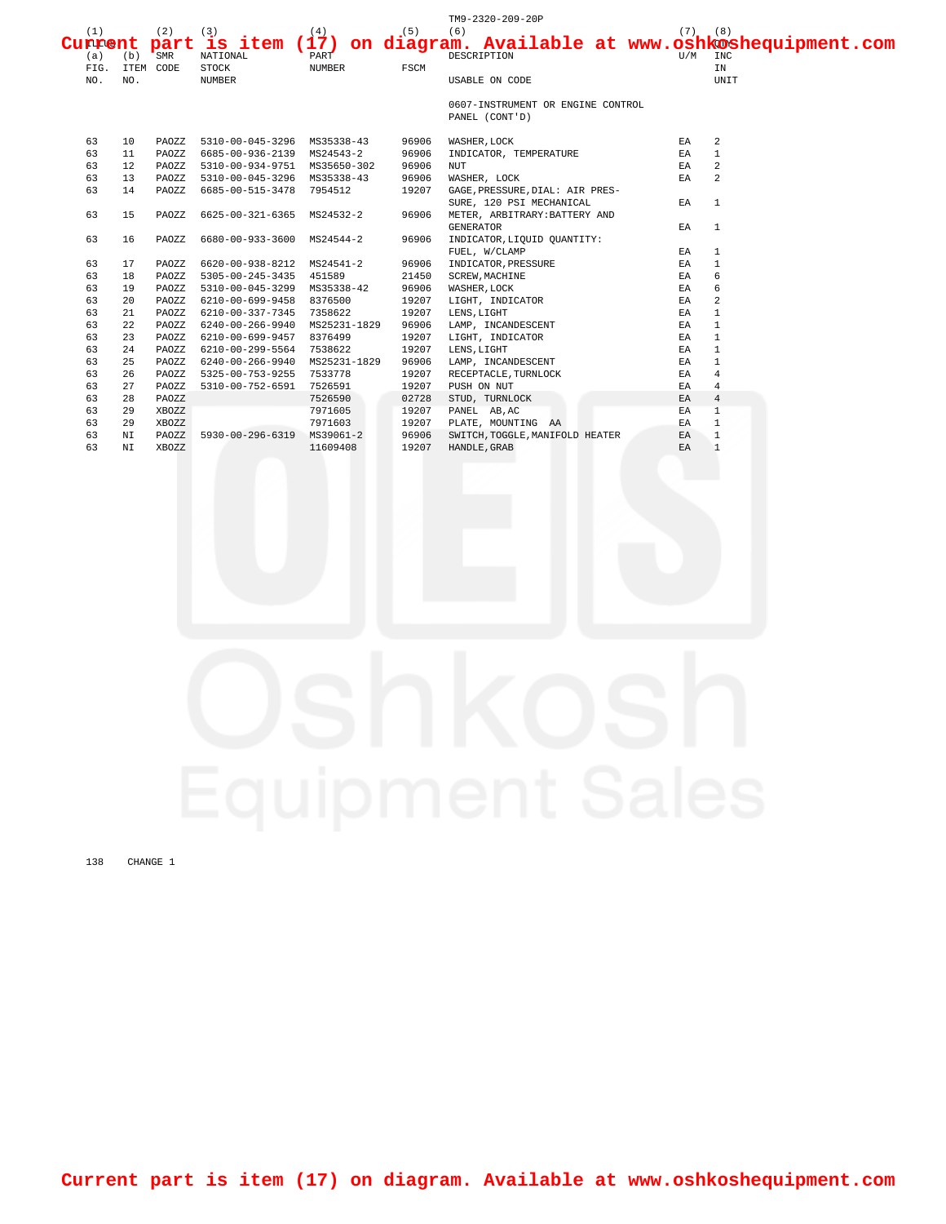|         |     |           |                               |               |       | TM9-2320-209-20P                  |             |                                                                |
|---------|-----|-----------|-------------------------------|---------------|-------|-----------------------------------|-------------|----------------------------------------------------------------|
| (1)     |     | (2)       | (3)                           | (4)           | (5)   | (6)                               | $(7)$ $(8)$ |                                                                |
| Current |     | part      |                               |               |       |                                   |             | is item (17) on diagram. Available at www.oshkoshequipment.com |
| (a)     | (b) | SMR       | NATIONAL                      | PART          |       | DESCRIPTION                       | U/M         | INC                                                            |
| FIG.    |     | ITEM CODE | <b>STOCK</b>                  | <b>NUMBER</b> | FSCM  |                                   |             | IN                                                             |
| NO.     | NO. |           | <b>NUMBER</b>                 |               |       | USABLE ON CODE                    |             | UNIT                                                           |
|         |     |           |                               |               |       | 0607-INSTRUMENT OR ENGINE CONTROL |             |                                                                |
|         |     |           |                               |               |       | PANEL (CONT'D)                    |             |                                                                |
| 63      | 10  | PAOZZ     | 5310-00-045-3296 MS35338-43   |               | 96906 | WASHER, LOCK                      | EA          | 2                                                              |
| 63      | 11  | PAOZZ     | 6685-00-936-2139 MS24543-2    |               | 96906 | INDICATOR, TEMPERATURE            | EA          | $\mathbf{1}$                                                   |
| 63      | 12  | PAOZZ     | 5310-00-934-9751 MS35650-302  |               | 96906 | <b>NUT</b>                        | EA          | 2                                                              |
| 63      | 13  | PAOZZ     | 5310-00-045-3296 MS35338-43   |               | 96906 | WASHER, LOCK                      | EA          | 2                                                              |
| 63      | 14  | PAOZZ     | 6685-00-515-3478              | 7954512       | 19207 | GAGE, PRESSURE, DIAL: AIR PRES-   |             |                                                                |
|         |     |           |                               |               |       | SURE, 120 PSI MECHANICAL          | EA          | $\mathbf{1}$                                                   |
| 63      | 15  | PAOZZ     | 6625-00-321-6365              | MS24532-2     | 96906 | METER, ARBITRARY: BATTERY AND     |             |                                                                |
|         |     |           |                               |               |       | <b>GENERATOR</b>                  | ΕA          | $\mathbf{1}$                                                   |
| 63      | 16  | PAOZZ     | 6680-00-933-3600              | MS24544-2     | 96906 | INDICATOR, LIQUID QUANTITY:       |             |                                                                |
|         |     |           |                               |               |       | FUEL, W/CLAMP                     | EA          | $\mathbf{1}$                                                   |
| 63      | 17  | PAOZZ     | 6620-00-938-8212              | MS24541-2     | 96906 | INDICATOR, PRESSURE               | EA          | $\mathbf{1}$                                                   |
| 63      | 18  | PAOZZ     | 5305-00-245-3435              | 451589        | 21450 | <b>SCREW, MACHINE</b>             | EA          | 6                                                              |
| 63      | 19  | PAOZZ     | 5310-00-045-3299 MS35338-42   |               | 96906 | WASHER, LOCK                      | ΕA          | 6                                                              |
| 63      | 20  | PAOZZ     | 6210-00-699-9458 8376500      |               | 19207 | LIGHT, INDICATOR                  | EA          | 2                                                              |
| 63      | 21  | PAOZZ     | 6210-00-337-7345 7358622      |               | 19207 | LENS, LIGHT                       | EA          | $\mathbf{1}$                                                   |
| 63      | 22  | PAOZZ     | 6240-00-266-9940 MS25231-1829 |               | 96906 | LAMP, INCANDESCENT                | EA          | $\mathbf{1}$                                                   |
| 63      | 23  | PAOZZ     | 6210-00-699-9457 8376499      |               | 19207 | LIGHT, INDICATOR                  | EA          | $\mathbf{1}$                                                   |
| 63      | 24  | PAOZZ     | 6210-00-299-5564              | 7538622       | 19207 | LENS, LIGHT                       | EA          | $\mathbf{1}$                                                   |
| 63      | 25  | PAOZZ     | 6240-00-266-9940              | MS25231-1829  | 96906 | LAMP, INCANDESCENT                | ΕA          | $\mathbf{1}$                                                   |
| 63      | 26  | PAOZZ     | 5325-00-753-9255              | 7533778       | 19207 | RECEPTACLE, TURNLOCK              | EA          | $\overline{4}$                                                 |
| 63      | 27  | PAOZZ     | 5310-00-752-6591              | 7526591       | 19207 | PUSH ON NUT                       | ΕA          | $\overline{4}$                                                 |
| 63      | 28  | PAOZZ     |                               | 7526590       | 02728 | STUD, TURNLOCK                    | EA          | $\overline{4}$                                                 |
| 63      | 29  | XBOZZ     |                               | 7971605       | 19207 | PANEL AB, AC                      | EA          | $\overline{1}$                                                 |
| 63      | 29  | XBOZZ     |                               | 7971603       | 19207 | PLATE, MOUNTING AA                | EA          | $\mathbf{1}$                                                   |
| 63      | ΝI  | PAOZZ     | 5930-00-296-6319              | MS39061-2     | 96906 | SWITCH, TOGGLE, MANIFOLD HEATER   | EA          | $\mathbf{1}$                                                   |
| 63      | ΝI  | XBOZZ     |                               | 11609408      | 19207 | HANDLE, GRAB                      | EA          | $\mathbf{1}$                                                   |

138 CHANGE 1